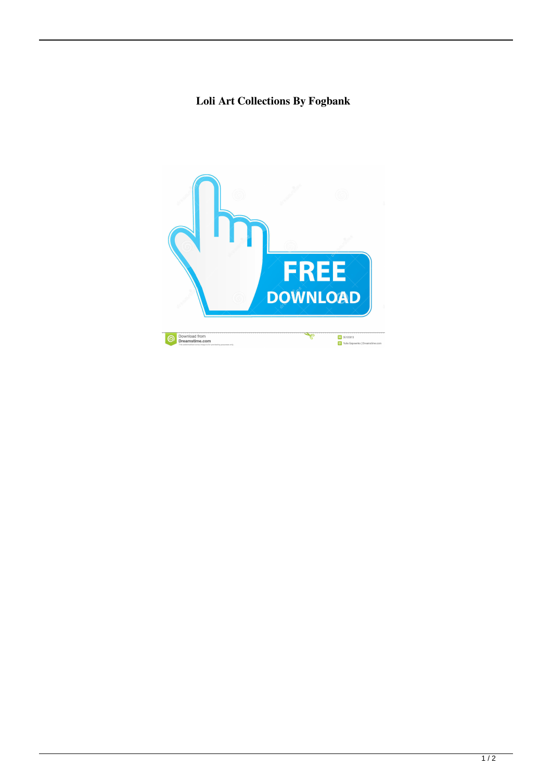## **Loli Art Collections By Fogbank**